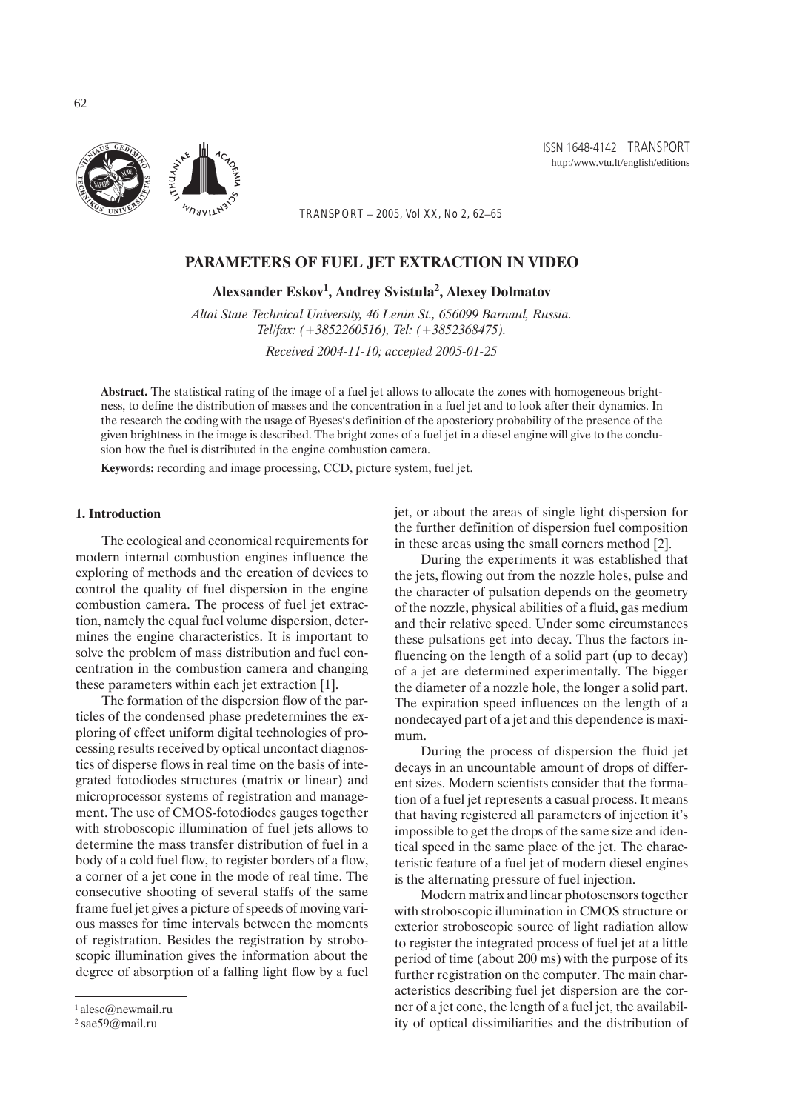

ISSN 1648-4142 TRANSPORT http:/www.vtu.lt/english/editions

*TRANSPORT – 2005, Vol XX, No 2, 62–65*

# PARAMETERS OF FUEL JET EXTRACTION IN VIDEO

Alexsander Eskov<sup>1</sup>, Andrey Svistula<sup>2</sup>, Alexey Dolmatov

*Altai State Technical University, 46 Lenin St., 656099 Barnaul, Russia. Tel/fax: (+3852260516), Tel: (+3852368475).*

*Received 2004-11-10; accepted 2005-01-25*

Abstract. The statistical rating of the image of a fuel jet allows to allocate the zones with homogeneous brightness, to define the distribution of masses and the concentration in a fuel jet and to look after their dynamics. In the research the coding with the usage of Byeses's definition of the aposteriory probability of the presence of the given brightness in the image is described. The bright zones of a fuel jet in a diesel engine will give to the conclusion how the fuel is distributed in the engine combustion camera.

Keywords: recording and image processing, CCD, picture system, fuel jet.

#### 1. Introduction

The ecological and economical requirements for modern internal combustion engines influence the exploring of methods and the creation of devices to control the quality of fuel dispersion in the engine combustion camera. The process of fuel jet extraction, namely the equal fuel volume dispersion, determines the engine characteristics. It is important to solve the problem of mass distribution and fuel concentration in the combustion camera and changing these parameters within each jet extraction [1].

The formation of the dispersion flow of the particles of the condensed phase predetermines the exploring of effect uniform digital technologies of processing results received by optical uncontact diagnostics of disperse flows in real time on the basis of integrated fotodiodes structures (matrix or linear) and microprocessor systems of registration and management. The use of CMOS-fotodiodes gauges together with stroboscopic illumination of fuel jets allows to determine the mass transfer distribution of fuel in a body of a cold fuel flow, to register borders of a flow, a corner of a jet cone in the mode of real time. The consecutive shooting of several staffs of the same frame fuel jet gives a picture of speeds of moving various masses for time intervals between the moments of registration. Besides the registration by stroboscopic illumination gives the information about the degree of absorption of a falling light flow by a fuel

jet, or about the areas of single light dispersion for the further definition of dispersion fuel composition in these areas using the small corners method [2].

During the experiments it was established that the jets, flowing out from the nozzle holes, pulse and the character of pulsation depends on the geometry of the nozzle, physical abilities of a fluid, gas medium and their relative speed. Under some circumstances these pulsations get into decay. Thus the factors influencing on the length of a solid part (up to decay) of a jet are determined experimentally. The bigger the diameter of a nozzle hole, the longer a solid part. The expiration speed influences on the length of a nondecayed part of a jet and this dependence is maximum.

During the process of dispersion the fluid jet decays in an uncountable amount of drops of different sizes. Modern scientists consider that the formation of a fuel jet represents a casual process. It means that having registered all parameters of injection it's impossible to get the drops of the same size and identical speed in the same place of the jet. The characteristic feature of a fuel jet of modern diesel engines is the alternating pressure of fuel injection.

Modern matrix and linear photosensors together with stroboscopic illumination in CMOS structure or exterior stroboscopic source of light radiation allow to register the integrated process of fuel jet at a little period of time (about 200 ms) with the purpose of its further registration on the computer. The main characteristics describing fuel jet dispersion are the corner of a jet cone, the length of a fuel jet, the availability of optical dissimiliarities and the distribution of

 $1$  alesc@newmail.ru

<sup>2</sup> sae59@mail.ru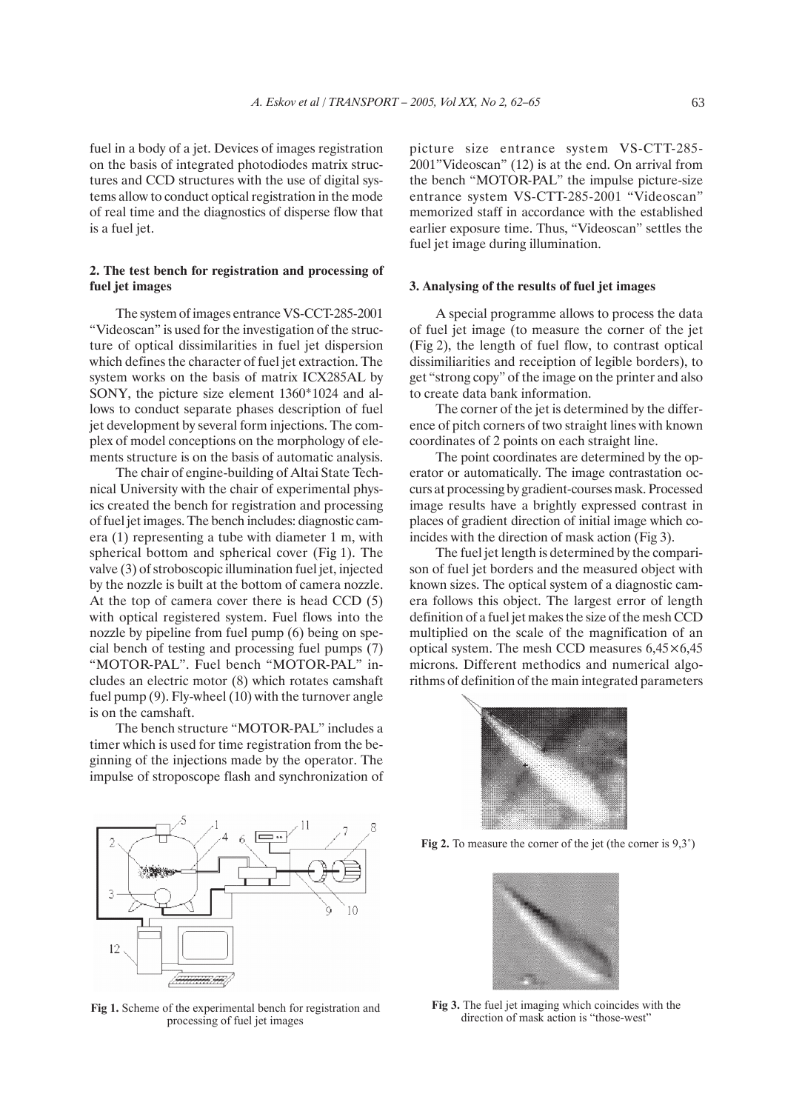fuel in a body of a jet. Devices of images registration on the basis of integrated photodiodes matrix structures and CCD structures with the use of digital systems allow to conduct optical registration in the mode of real time and the diagnostics of disperse flow that is a fuel jet.

## 2. The test bench for registration and processing of fuel jet images

The system of images entrance VS-CCT-285-2001 "Videoscan" is used for the investigation of the structure of optical dissimilarities in fuel jet dispersion which defines the character of fuel jet extraction. The system works on the basis of matrix ICX285AL by SONY, the picture size element 1360\*1024 and allows to conduct separate phases description of fuel jet development by several form injections. The complex of model conceptions on the morphology of elements structure is on the basis of automatic analysis.

The chair of engine-building of Altai State Technical University with the chair of experimental physics created the bench for registration and processing of fuel jet images. The bench includes: diagnostic camera (1) representing a tube with diameter 1 m, with spherical bottom and spherical cover (Fig 1). The valve (3) of stroboscopic illumination fuel jet, injected by the nozzle is built at the bottom of camera nozzle. At the top of camera cover there is head CCD (5) with optical registered system. Fuel flows into the nozzle by pipeline from fuel pump (6) being on special bench of testing and processing fuel pumps (7) "MOTOR-PAL". Fuel bench "MOTOR-PAL" includes an electric motor (8) which rotates camshaft fuel pump (9). Fly-wheel (10) with the turnover angle is on the camshaft.

The bench structure "MOTOR-PAL" includes a timer which is used for time registration from the beginning of the injections made by the operator. The impulse of stroposcope flash and synchronization of picture size entrance system VS-CTT-285- 2001"Videoscan" (12) is at the end. On arrival from the bench "MOTOR-PAL" the impulse picture-size entrance system VS-CTT-285-2001 "Videoscan" memorized staff in accordance with the established earlier exposure time. Thus, "Videoscan" settles the fuel jet image during illumination.

#### 3. Analysing of the results of fuel jet images

A special programme allows to process the data of fuel jet image (to measure the corner of the jet (Fig 2), the length of fuel flow, to contrast optical dissimiliarities and receiption of legible borders), to get "strong copy" of the image on the printer and also to create data bank information.

The corner of the jet is determined by the difference of pitch corners of two straight lines with known coordinates of 2 points on each straight line.

The point coordinates are determined by the operator or automatically. The image contrastation occurs at processing by gradient-courses mask. Processed image results have a brightly expressed contrast in places of gradient direction of initial image which coincides with the direction of mask action (Fig 3).

The fuel jet length is determined by the comparison of fuel jet borders and the measured object with known sizes. The optical system of a diagnostic camera follows this object. The largest error of length definition of a fuel jet makes the size of the mesh CCD multiplied on the scale of the magnification of an optical system. The mesh CCD measures 6,45×6,45 microns. Different methodics and numerical algorithms of definition of the main integrated parameters



**Fig 2.** To measure the corner of the jet (the corner is 9,3°)





**Fig 1.** Scheme of the experimental bench for registration and processing of fuel jet images

**Fig 3.** The fuel jet imaging which coincides with the direction of mask action is "those-west"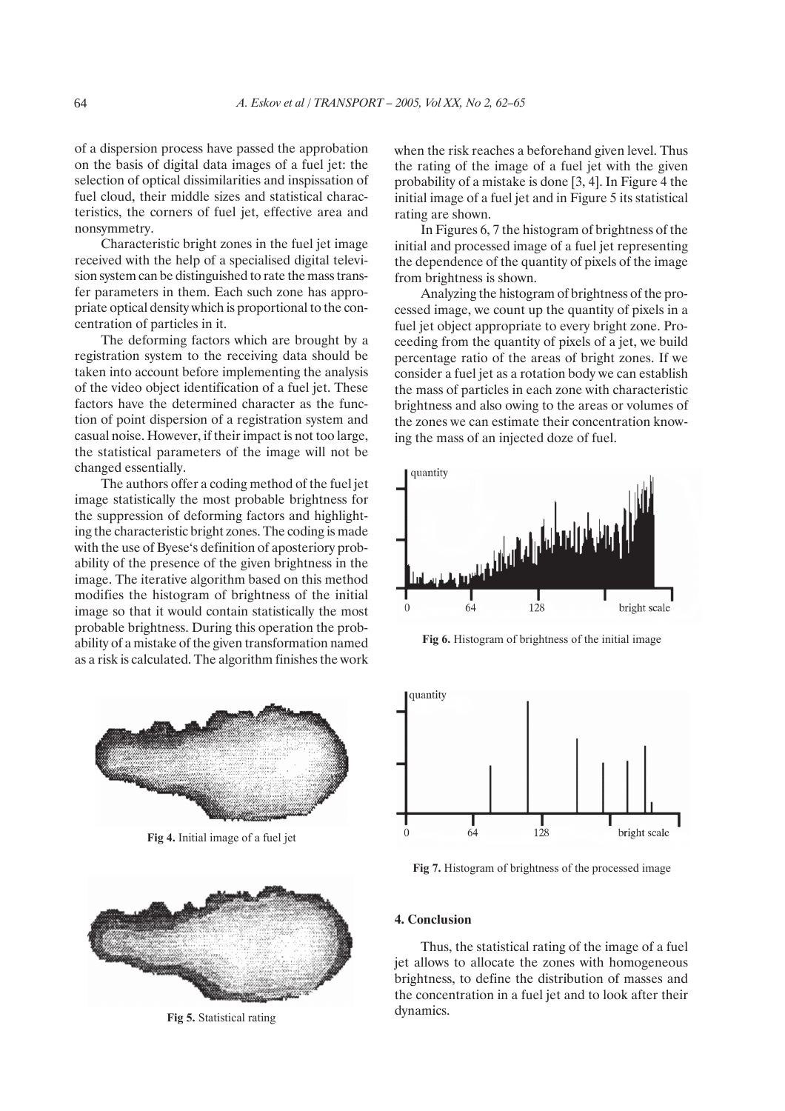of a dispersion process have passed the approbation on the basis of digital data images of a fuel jet: the selection of optical dissimilarities and inspissation of fuel cloud, their middle sizes and statistical characteristics, the corners of fuel jet, effective area and nonsymmetry.

Characteristic bright zones in the fuel jet image received with the help of a specialised digital television system can be distinguished to rate the mass transfer parameters in them. Each such zone has appropriate optical density which is proportional to the concentration of particles in it.

The deforming factors which are brought by a registration system to the receiving data should be taken into account before implementing the analysis of the video object identification of a fuel jet. These factors have the determined character as the function of point dispersion of a registration system and casual noise. However, if their impact is not too large, the statistical parameters of the image will not be changed essentially.

The authors offer a coding method of the fuel jet image statistically the most probable brightness for the suppression of deforming factors and highlighting the characteristic bright zones. The coding is made with the use of Byese's definition of aposteriory probability of the presence of the given brightness in the image. The iterative algorithm based on this method modifies the histogram of brightness of the initial image so that it would contain statistically the most probable brightness. During this operation the probability of a mistake of the given transformation named as a risk is calculated. The algorithm finishes the work



**Fig 4.** Initial image of a fuel jet



**Fig 5.** Statistical rating

when the risk reaches a beforehand given level. Thus the rating of the image of a fuel jet with the given probability of a mistake is done [3, 4]. In Figure 4 the initial image of a fuel jet and in Figure 5 its statistical rating are shown.

In Figures 6, 7 the histogram of brightness of the initial and processed image of a fuel jet representing the dependence of the quantity of pixels of the image from brightness is shown.

Analyzing the histogram of brightness of the processed image, we count up the quantity of pixels in a fuel jet object appropriate to every bright zone. Proceeding from the quantity of pixels of a jet, we build percentage ratio of the areas of bright zones. If we consider a fuel jet as a rotation body we can establish the mass of particles in each zone with characteristic brightness and also owing to the areas or volumes of the zones we can estimate their concentration knowing the mass of an injected doze of fuel.



**Fig 6.** Histogram of brightness of the initial image



**Fig 7.** Histogram of brightness of the processed image

### 4. Conclusion

Thus, the statistical rating of the image of a fuel jet allows to allocate the zones with homogeneous brightness, to define the distribution of masses and the concentration in a fuel jet and to look after their dynamics.